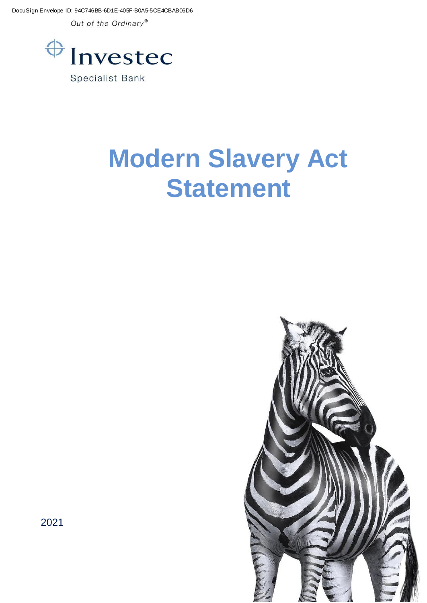DocuSign Envelope ID: 94C746BB-6D1E-405F-B0A5-5CE4CBAB06D6

Out of the Ordinary®



# **Modern Slavery Act Statement**



2021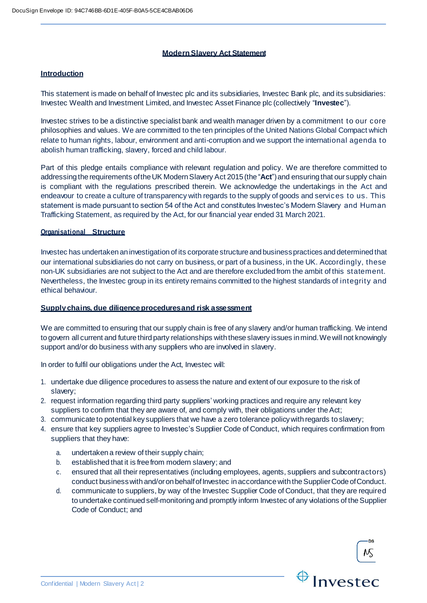## **ModernSlavery Act Statement**

## **Introduction**

This statement is made on behalf of Investec plc and its subsidiaries, Investec Bank plc, and its subsidiaries: Investec Wealth and Investment Limited, and Investec Asset Finance plc (collectively "**Investec**").

Investec strives to be a distinctive specialist bank and wealth manager driven by a commitment to our core philosophies and values. We are committed to the ten principles of the United Nations Global Compact which relate to human rights, labour, environment and anti-corruption and we support the international agenda to abolish human trafficking, slavery, forced and child labour.

Part of this pledge entails compliance with relevant regulation and policy. We are therefore committed to addressing the requirements of the UK Modern Slavery Act 2015 (the "Act") and ensuring that our supply chain is compliant with the regulations prescribed therein. We acknowledge the undertakings in the Act and endeavour to create a culture of transparency with regards to the supply of goods and services to us. This statement is made pursuant to section 54 of the Act and constitutes Investec's Modern Slavery and Human Trafficking Statement, as required by the Act, for our financial year ended 31 March 2021.

## **Organisational Structure**

Investec has undertaken an investigation of its corporate structure and business practices and determined that our international subsidiaries do not carry on business, or part of a business, in the UK. Accordingly, these non-UK subsidiaries are not subject to the Act and are therefore excluded from the ambit of this statement. Nevertheless, the Investec group in its entirety remains committed to the highest standards of integrity and ethical behaviour.

## **Supply chains, due diligenceproceduresand risk assessment**

We are committed to ensuring that our supply chain is free of any slavery and/or human trafficking. We intend togovern all current and future third party relationships with these slavery issues inmind.Wewill not knowingly support and/or do business with any suppliers who are involved in slavery.

In order to fulfil our obligations under the Act, Investec will:

- 1. undertake due diligence procedures to assess the nature and extent of our exposure to the risk of slavery;
- 2. request information regarding third party suppliers' working practices and require any relevant key suppliers to confirm that they are aware of, and comply with, their obligations under the Act;
- 3. communicate to potential keysuppliers that we have a zero tolerance policywith regards toslavery;
- 4. ensure that key suppliers agree to Investec's Supplier Code of Conduct, which requires confirmation from suppliers that they have:
	- a. undertaken a review of their supply chain;
	- b. established that it is free from modern slavery; and
	- c. ensured that all their representatives (including employees, agents, suppliers and subcontractors) conduct businesswith and/oron behalfofInvestec inaccordance with theSupplierCode ofConduct.
	- d. communicate to suppliers, by way of the Investec Supplier Code of Conduct, that they are required to undertake continued self-monitoring and promptly inform Investec of any violations of the Supplier Code of Conduct; and